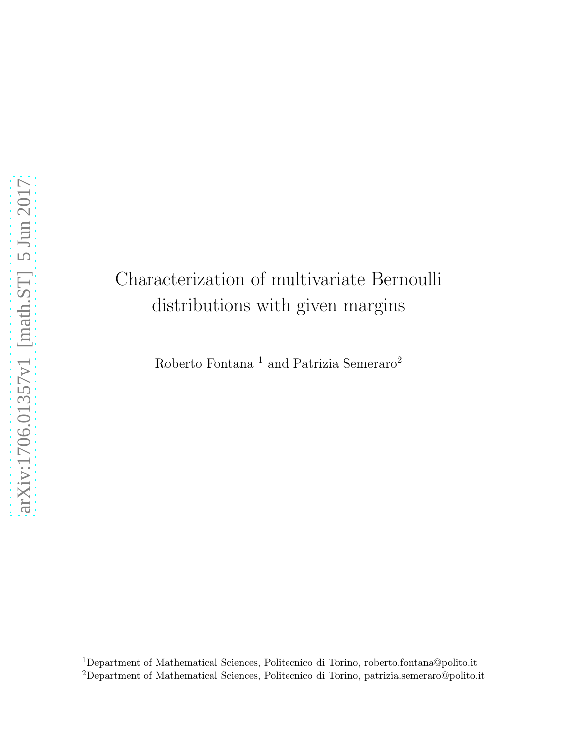# Characterization of multivariate Bernoulli distributions with given margins

Roberto Fontana $^{\rm 1}$  and Patrizia Semeraro $^{\rm 2}$ 

<sup>1</sup>Department of Mathematical Sciences, Politecnico di Torino, roberto.fontana@polito.it <sup>2</sup>Department of Mathematical Sciences, Politecnico di Torino, patrizia.semeraro@polito.it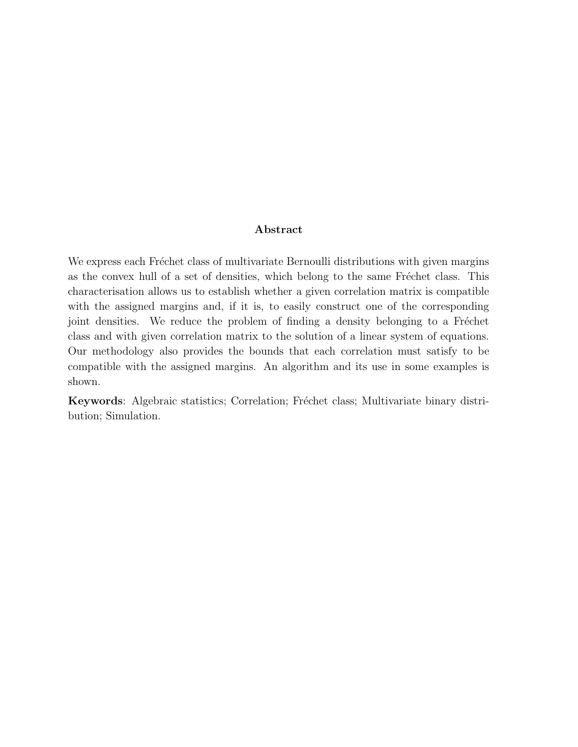#### Abstract

We express each Fréchet class of multivariate Bernoulli distributions with given margins as the convex hull of a set of densities, which belong to the same Fréchet class. This characterisation allows us to establish whether a given correlation matrix is compatible with the assigned margins and, if it is, to easily construct one of the corresponding joint densities. We reduce the problem of finding a density belonging to a Fréchet class and with given correlation matrix to the solution of a linear system of equations. Our methodology also provides the bounds that each correlation must satisfy to be compatible with the assigned margins. An algorithm and its use in some examples is shown.

Keywords: Algebraic statistics; Correlation; Fréchet class; Multivariate binary distribution; Simulation.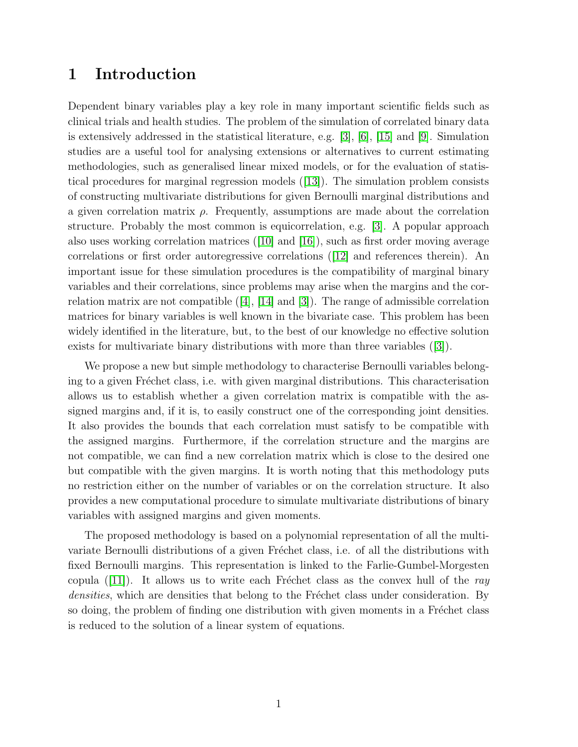## 1 Introduction

Dependent binary variables play a key role in many important scientific fields such as clinical trials and health studies. The problem of the simulation of correlated binary data is extensively addressed in the statistical literature, e.g. [\[3\]](#page-17-0), [\[6\]](#page-17-1), [\[15\]](#page-18-0) and [\[9\]](#page-17-2). Simulation studies are a useful tool for analysing extensions or alternatives to current estimating methodologies, such as generalised linear mixed models, or for the evaluation of statistical procedures for marginal regression models ([\[13\]](#page-17-3)). The simulation problem consists of constructing multivariate distributions for given Bernoulli marginal distributions and a given correlation matrix  $\rho$ . Frequently, assumptions are made about the correlation structure. Probably the most common is equicorrelation, e.g. [\[3\]](#page-17-0). A popular approach also uses working correlation matrices  $([10]$  $([10]$  and  $[16]$ , such as first order moving average correlations or first order autoregressive correlations ([\[12\]](#page-17-5) and references therein). An important issue for these simulation procedures is the compatibility of marginal binary variables and their correlations, since problems may arise when the margins and the correlation matrix are not compatible  $([4], [14]$  $([4], [14]$  $([4], [14]$  $([4], [14]$  and  $[3])$ . The range of admissible correlation matrices for binary variables is well known in the bivariate case. This problem has been widely identified in the literature, but, to the best of our knowledge no effective solution exists for multivariate binary distributions with more than three variables ([\[3\]](#page-17-0)).

We propose a new but simple methodology to characterise Bernoulli variables belonging to a given Fréchet class, i.e. with given marginal distributions. This characterisation allows us to establish whether a given correlation matrix is compatible with the assigned margins and, if it is, to easily construct one of the corresponding joint densities. It also provides the bounds that each correlation must satisfy to be compatible with the assigned margins. Furthermore, if the correlation structure and the margins are not compatible, we can find a new correlation matrix which is close to the desired one but compatible with the given margins. It is worth noting that this methodology puts no restriction either on the number of variables or on the correlation structure. It also provides a new computational procedure to simulate multivariate distributions of binary variables with assigned margins and given moments.

The proposed methodology is based on a polynomial representation of all the multivariate Bernoulli distributions of a given Fréchet class, i.e. of all the distributions with fixed Bernoulli margins. This representation is linked to the Farlie-Gumbel-Morgesten copula ([\[11\]](#page-17-8)). It allows us to write each Fréchet class as the convex hull of the ray densities, which are densities that belong to the Fréchet class under consideration. By so doing, the problem of finding one distribution with given moments in a Fréchet class is reduced to the solution of a linear system of equations.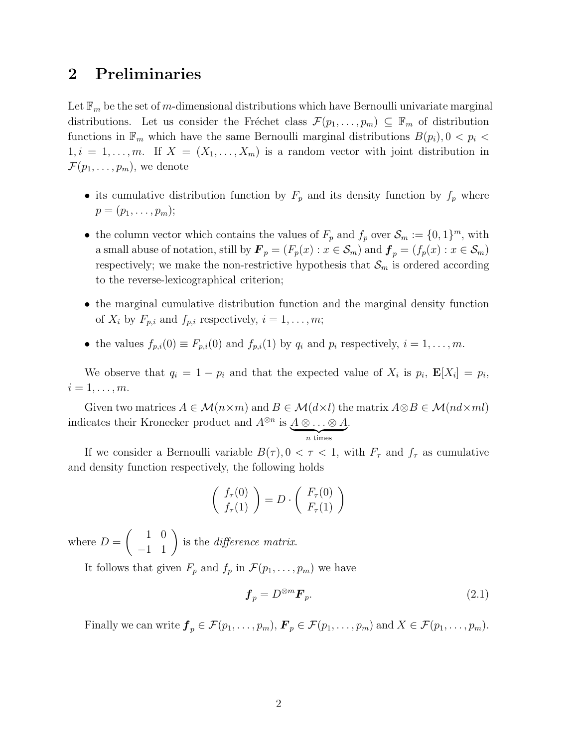## 2 Preliminaries

Let  $\mathbb{F}_m$  be the set of m-dimensional distributions which have Bernoulli univariate marginal distributions. Let us consider the Fréchet class  $\mathcal{F}(p_1, \ldots, p_m) \subseteq \mathbb{F}_m$  of distribution functions in  $\mathbb{F}_m$  which have the same Bernoulli marginal distributions  $B(p_i)$ ,  $0 < p_i <$  $1, i = 1, \ldots, m$ . If  $X = (X_1, \ldots, X_m)$  is a random vector with joint distribution in  $\mathcal{F}(p_1,\ldots,p_m)$ , we denote

- its cumulative distribution function by  $F_p$  and its density function by  $f_p$  where  $p = (p_1, \ldots, p_m);$
- the column vector which contains the values of  $F_p$  and  $f_p$  over  $\mathcal{S}_m := \{0, 1\}^m$ , with a small abuse of notation, still by  $\mathbf{F}_p = (F_p(x) : x \in \mathcal{S}_m)$  and  $\mathbf{f}_p = (f_p(x) : x \in \mathcal{S}_m)$ respectively; we make the non-restrictive hypothesis that  $\mathcal{S}_m$  is ordered according to the reverse-lexicographical criterion;
- the marginal cumulative distribution function and the marginal density function of  $X_i$  by  $F_{p,i}$  and  $f_{p,i}$  respectively,  $i = 1, \ldots, m;$
- the values  $f_{p,i}(0) \equiv F_{p,i}(0)$  and  $f_{p,i}(1)$  by  $q_i$  and  $p_i$  respectively,  $i = 1, \ldots, m$ .

We observe that  $q_i = 1 - p_i$  and that the expected value of  $X_i$  is  $p_i$ ,  $\mathbf{E}[X_i] = p_i$ ,  $i=1,\ldots,m$ .

Given two matrices  $A \in \mathcal{M}(n \times m)$  and  $B \in \mathcal{M}(d \times l)$  the matrix  $A \otimes B \in \mathcal{M}(nd \times ml)$ indicates their Kronecker product and  $A^{\otimes n}$  is  $\underbrace{A \otimes \ldots \otimes A}_{n \text{ times}}$ .

If we consider a Bernoulli variable  $B(\tau)$ ,  $0 < \tau < 1$ , with  $F_{\tau}$  and  $f_{\tau}$  as cumulative and density function respectively, the following holds

$$
\left(\begin{array}{c} f_{\tau}(0) \\ f_{\tau}(1) \end{array}\right) = D \cdot \left(\begin{array}{c} F_{\tau}(0) \\ F_{\tau}(1) \end{array}\right)
$$

where  $D =$  $\left( \begin{array}{cc} 1 & 0 \\ -1 & 1 \end{array} \right)$ is the difference matrix.

It follows that given  $F_p$  and  $f_p$  in  $\mathcal{F}(p_1, \ldots, p_m)$  we have

<span id="page-3-0"></span>
$$
\boldsymbol{f}_p = D^{\otimes m} \boldsymbol{F}_p. \tag{2.1}
$$

Finally we can write  $\mathbf{f}_p \in \mathcal{F}(p_1,\ldots,p_m)$ ,  $\mathbf{F}_p \in \mathcal{F}(p_1,\ldots,p_m)$  and  $X \in \mathcal{F}(p_1,\ldots,p_m)$ .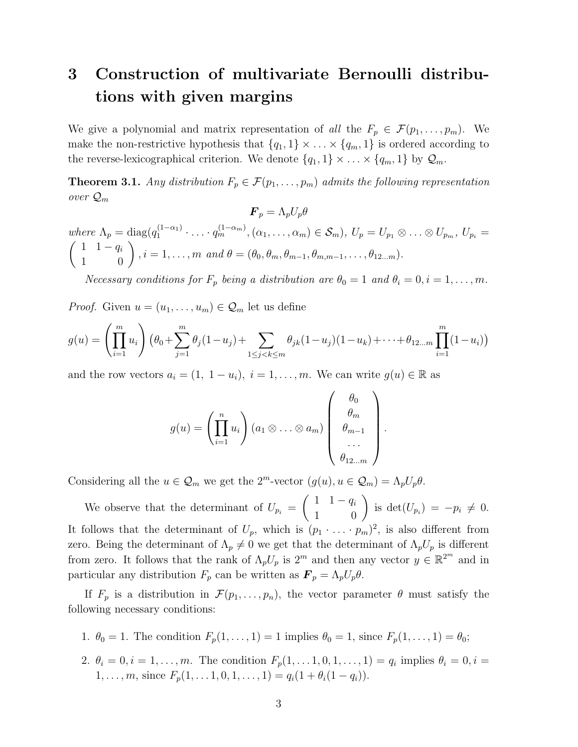## 3 Construction of multivariate Bernoulli distributions with given margins

We give a polynomial and matrix representation of all the  $F_p \in \mathcal{F}(p_1, \ldots, p_m)$ . We make the non-restrictive hypothesis that  $\{q_1, 1\} \times \ldots \times \{q_m, 1\}$  is ordered according to the reverse-lexicographical criterion. We denote  $\{q_1, 1\} \times \ldots \times \{q_m, 1\}$  by  $\mathcal{Q}_m$ .

<span id="page-4-0"></span>**Theorem 3.1.** Any distribution  $F_p \in \mathcal{F}(p_1, \ldots, p_m)$  admits the following representation over  $\mathcal{Q}_m$  $\mathbf{F} = \Lambda H \theta$ 

where 
$$
\Lambda_p
$$
 = diag $(q_1^{(1-\alpha_1)} \cdot \ldots \cdot q_m^{(1-\alpha_m)}, (\alpha_1, \ldots, \alpha_m) \in S_m)$ ,  $U_p = U_{p_1} \otimes \ldots \otimes U_{p_m}$ ,  $U_{p_i} = \begin{pmatrix} 1 & 1-q_i \\ 1 & 0 \end{pmatrix}$ ,  $i = 1, \ldots, m$  and  $\theta = (\theta_0, \theta_m, \theta_{m-1}, \theta_{m,m-1}, \ldots, \theta_{12\ldots m})$ .

Necessary conditions for  $F_p$  being a distribution are  $\theta_0 = 1$  and  $\theta_i = 0, i = 1, \ldots, m$ .

*Proof.* Given  $u = (u_1, \ldots, u_m) \in \mathcal{Q}_m$  let us define

$$
g(u) = \left(\prod_{i=1}^m u_i\right) \left(\theta_0 + \sum_{j=1}^m \theta_j (1-u_j) + \sum_{1 \le j < k \le m} \theta_{jk} (1-u_j)(1-u_k) + \dots + \theta_{12\dots m} \prod_{i=1}^m (1-u_i)\right)
$$

and the row vectors  $a_i = (1, 1 - u_i), i = 1, \ldots, m$ . We can write  $g(u) \in \mathbb{R}$  as

$$
g(u) = \left(\prod_{i=1}^n u_i\right) (a_1 \otimes \ldots \otimes a_m) \begin{pmatrix} \theta_0 \\ \theta_m \\ \theta_{m-1} \\ \ldots \\ \theta_{12\ldots m} \end{pmatrix}.
$$

Considering all the  $u \in \mathcal{Q}_m$  we get the  $2^m$ -vector  $(g(u), u \in \mathcal{Q}_m) = \Lambda_p U_p \theta$ .

We observe that the determinant of  $U_{p_i} =$  $\begin{pmatrix} 1 & 1 - q_i \\ 1 & 0 \end{pmatrix}$  is  $\det(U_{p_i}) = -p_i \neq 0$ . It follows that the determinant of  $U_p$ , which is  $(p_1 \cdot \ldots \cdot p_m)^2$ , is also different from zero. Being the determinant of  $\Lambda_p \neq 0$  we get that the determinant of  $\Lambda_p U_p$  is different from zero. It follows that the rank of  $\Lambda_p U_p$  is  $2^m$  and then any vector  $y \in \mathbb{R}^{2^m}$  and in particular any distribution  $F_p$  can be written as  $\mathbf{F}_p = \Lambda_p U_p \theta$ .

If  $F_p$  is a distribution in  $\mathcal{F}(p_1,\ldots,p_n)$ , the vector parameter  $\theta$  must satisfy the following necessary conditions:

- 1.  $\theta_0 = 1$ . The condition  $F_p(1, \ldots, 1) = 1$  implies  $\theta_0 = 1$ , since  $F_p(1, \ldots, 1) = \theta_0$ ;
- 2.  $\theta_i = 0, i = 1, ..., m$ . The condition  $F_p(1, ..., 1, 0, 1, ..., 1) = q_i$  implies  $\theta_i = 0, i =$ 1, ..., m, since  $F_p(1, \ldots, 1, 0, 1, \ldots, 1) = q_i(1 + \theta_i(1 - q_i)).$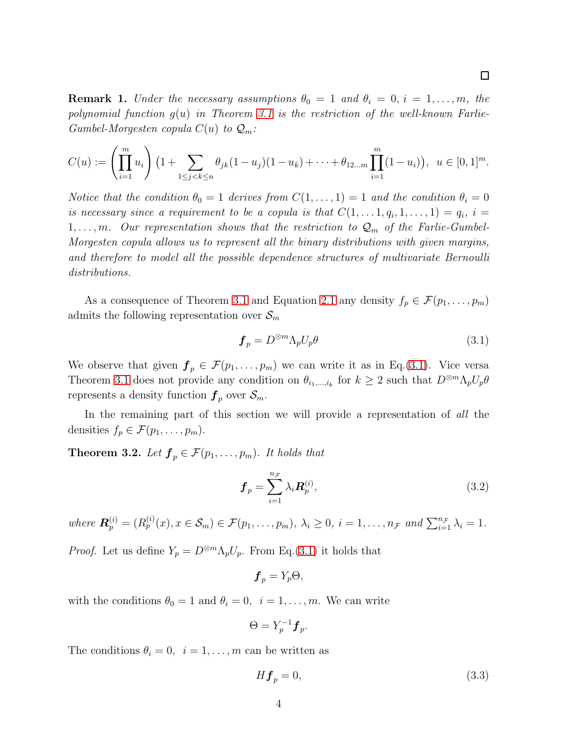**Remark 1.** Under the necessary assumptions  $\theta_0 = 1$  and  $\theta_i = 0$ ,  $i = 1, \ldots, m$ , the polynomial function  $g(u)$  in Theorem [3.1](#page-4-0) is the restriction of the well-known Farlie-

Gumbel-Morgesten copula 
$$
C(u)
$$
 to  $Q_m$ :

$$
C(u) := \left(\prod_{i=1}^m u_i\right) \left(1 + \sum_{1 \leq j < k \leq n} \theta_{jk} (1 - u_j)(1 - u_k) + \dots + \theta_{12\ldots m} \prod_{i=1}^m (1 - u_i)\right), \ u \in [0, 1]^m.
$$

Notice that the condition  $\theta_0 = 1$  derives from  $C(1, \ldots, 1) = 1$  and the condition  $\theta_i = 0$ is necessary since a requirement to be a copula is that  $C(1,\ldots,1,q_i,1,\ldots,1)=q_i$ ,  $i=$  $1, \ldots, m$ . Our representation shows that the restriction to  $\mathcal{Q}_m$  of the Farlie-Gumbel-Morgesten copula allows us to represent all the binary distributions with given margins, and therefore to model all the possible dependence structures of multivariate Bernoulli distributions.

As a consequence of Theorem [3.1](#page-4-0) and Equation [2.1](#page-3-0) any density  $f_p \in \mathcal{F}(p_1, \ldots, p_m)$ admits the following representation over  $\mathcal{S}_m$ 

<span id="page-5-0"></span>
$$
\boldsymbol{f}_p = D^{\otimes m} \Lambda_p U_p \theta \tag{3.1}
$$

We observe that given  $\mathbf{f}_p \in \mathcal{F}(p_1,\ldots,p_m)$  we can write it as in Eq.[\(3.1\)](#page-5-0). Vice versa Theorem [3.1](#page-4-0) does not provide any condition on  $\theta_{i_1,\dots,i_k}$  for  $k \geq 2$  such that  $D^{\otimes m} \Lambda_p U_p \theta$ represents a density function  $f_p$  over  $\mathcal{S}_m$ .

In the remaining part of this section we will provide a representation of all the densities  $f_p \in \mathcal{F}(p_1, \ldots, p_m)$ .

<span id="page-5-2"></span>**Theorem 3.2.** Let  $f_p \in \mathcal{F}(p_1, \ldots, p_m)$ . It holds that

<span id="page-5-3"></span>
$$
\boldsymbol{f}_p = \sum_{i=1}^{n_{\mathcal{F}}} \lambda_i \boldsymbol{R}_p^{(i)},\tag{3.2}
$$

where  $\mathbf{R}_p^{(i)} = (R_p^{(i)}(x), x \in \mathcal{S}_m) \in \mathcal{F}(p_1, \ldots, p_m), \lambda_i \geq 0, i = 1, \ldots, n_{\mathcal{F}}$  and  $\sum_{i=1}^{n_{\mathcal{F}}} \lambda_i = 1$ .

*Proof.* Let us define  $Y_p = D^{\otimes m} \Lambda_p U_p$ . From Eq.[\(3.1\)](#page-5-0) it holds that

$$
\boldsymbol{f}_p = Y_p \Theta,
$$

with the conditions  $\theta_0 = 1$  and  $\theta_i = 0$ ,  $i = 1, ..., m$ . We can write

$$
\Theta = Y_p^{-1} \boldsymbol{f}_p.
$$

4

The conditions  $\theta_i = 0, i = 1, \ldots, m$  can be written as

<span id="page-5-1"></span>
$$
H\mathbf{f}_p = 0,\tag{3.3}
$$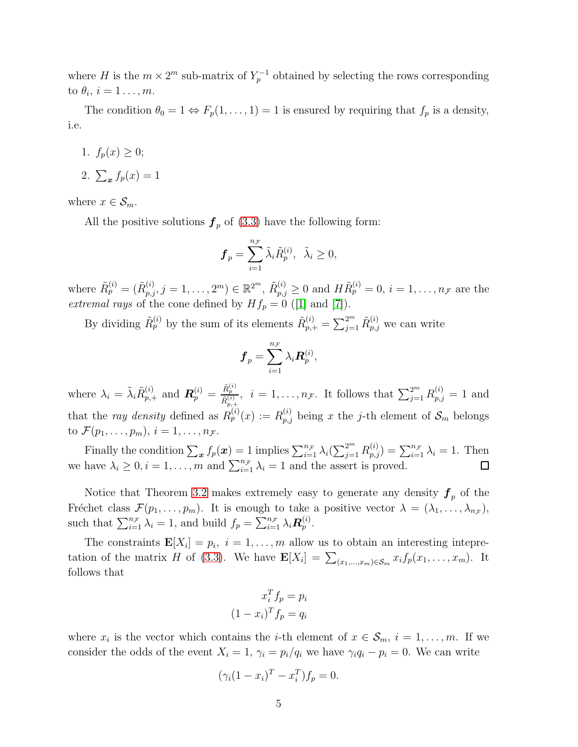where H is the  $m \times 2^m$  sub-matrix of  $Y_p^{-1}$  obtained by selecting the rows corresponding to  $\theta_i$ ,  $i=1\ldots,m$ .

The condition  $\theta_0 = 1 \Leftrightarrow F_p(1, \ldots, 1) = 1$  is ensured by requiring that  $f_p$  is a density, i.e.

- 1.  $f_p(x) \geq 0;$
- 2.  $\sum_{x} f_p(x) = 1$

where  $x \in \mathcal{S}_m$ .

All the positive solutions  $f_p$  of [\(3.3\)](#page-5-1) have the following form:

$$
\boldsymbol{f}_p = \sum_{i=1}^{n_{\mathcal{F}}} \tilde{\lambda}_i \tilde{R}_p^{(i)}, \ \ \tilde{\lambda}_i \ge 0,
$$

where  $\tilde{R}_{p}^{(i)} = (\tilde{R}_{p,j}^{(i)}, j = 1, \ldots, 2^m) \in \mathbb{R}^{2^m}, \ \tilde{R}_{p,j}^{(i)} \ge 0$  and  $H\tilde{R}_{p}^{(i)} = 0, i = 1, \ldots, n_{\mathcal{F}}$  are the extremal rays of the cone defined by  $Hf_p = 0$  ([\[1\]](#page-16-0) and [\[7\]](#page-17-9)).

By dividing  $\tilde{R}_p^{(i)}$  by the sum of its elements  $\tilde{R}_{p,+}^{(i)} = \sum_{j=1}^{2^m} \tilde{R}_{p,j}^{(i)}$  we can write

$$
\boldsymbol{f}_p = \sum_{i=1}^{n_\mathcal{F}} \lambda_i \boldsymbol{R}_p^{(i)},
$$

where  $\lambda_i = \tilde{\lambda}_i \tilde{R}_{p,+}^{(i)}$  and  $\boldsymbol{R}_p^{(i)} = \frac{\tilde{R}_p^{(i)}}{\tilde{R}_p^{(i)}}$  $\frac{\tilde{R}_{p}^{(i)}}{\tilde{R}_{p,+}^{(i)}}, i = 1, \ldots, n_{\mathcal{F}}.$  It follows that  $\sum_{j=1}^{2^{m}} R_{p,j}^{(i)} = 1$  and that the ray density defined as  $R_p^{(i)}(x) := R_{p,j}^{(i)}$  being x the j-th element of  $\mathcal{S}_m$  belongs to  $\mathcal{F}(p_1,\ldots,p_m), i=1,\ldots,n_{\mathcal{F}}$ .

Finally the condition  $\sum_{x} f_p(x) = 1$  implies  $\sum_{i=1}^{n_{\mathcal{F}}} \lambda_i(\sum_{j=1}^{2^m} R_{p,j}^{(i)}) = \sum_{i=1}^{n_{\mathcal{F}}} \lambda_i = 1$ . Then we have  $\lambda_i \geq 0, i = 1, \ldots, m$  and  $\sum_{i=1}^{n_{\mathcal{F}}} \lambda_i = 1$  and the assert is proved.

Notice that Theorem [3.2](#page-5-2) makes extremely easy to generate any density  $f_p$  of the Fréchet class  $\mathcal{F}(p_1,\ldots,p_m)$ . It is enough to take a positive vector  $\lambda = (\lambda_1,\ldots,\lambda_{n_{\mathcal{F}}})$ , such that  $\sum_{i=1}^{n_{\mathcal{F}}} \lambda_i = 1$ , and build  $f_p = \sum_{i=1}^{n_{\mathcal{F}}} \lambda_i \mathbf{R}_p^{(i)}$ .

The constraints  $\mathbf{E}[X_i] = p_i$ ,  $i = 1, ..., m$  allow us to obtain an interesting intepre-tation of the matrix H of [\(3.3\)](#page-5-1). We have  $\mathbf{E}[X_i] = \sum_{(x_1,\dots,x_m)\in\mathcal{S}_m} x_i f_p(x_1,\dots,x_m)$ . It follows that

$$
x_i^T f_p = p_i
$$

$$
(1 - x_i)^T f_p = q_i
$$

where  $x_i$  is the vector which contains the *i*-th element of  $x \in S_m$ ,  $i = 1, ..., m$ . If we consider the odds of the event  $X_i = 1$ ,  $\gamma_i = p_i/q_i$  we have  $\gamma_i q_i - p_i = 0$ . We can write

$$
(\gamma_i(1 - x_i)^T - x_i^T) f_p = 0.
$$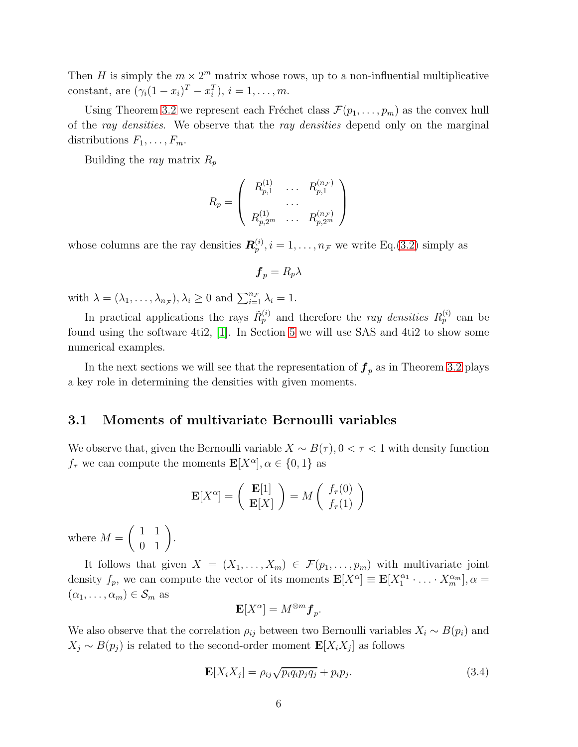Then H is simply the  $m \times 2^m$  matrix whose rows, up to a non-influential multiplicative constant, are  $(\gamma_i(1-x_i)^T - x_i^T), i = 1, ..., m$ .

Using Theorem [3.2](#page-5-2) we represent each Fréchet class  $\mathcal{F}(p_1, \ldots, p_m)$  as the convex hull of the ray densities. We observe that the ray densities depend only on the marginal distributions  $F_1, \ldots, F_m$ .

Building the ray matrix  $R_p$ 

$$
R_p = \left( \begin{array}{ccc} R_{p,1}^{(1)} & \dots & R_{p,1}^{(n_F)} \\ \dots & \dots & \dots \\ R_{p,2^m}^{(1)} & \dots & R_{p,2^m}^{(n_F)} \end{array} \right)
$$

whose columns are the ray densities  $\mathbf{R}_p^{(i)}$ ,  $i = 1, \ldots, n_{\mathcal{F}}$  we write Eq.[\(3.2\)](#page-5-3) simply as

$$
\boldsymbol{f}_p = R_p \lambda
$$

with  $\lambda = (\lambda_1, \ldots, \lambda_{n_{\mathcal{F}}}), \lambda_i \geq 0$  and  $\sum_{i=1}^{n_{\mathcal{F}}} \lambda_i = 1$ .

In practical applications the rays  $\tilde{R}_p^{(i)}$  and therefore the *ray densities*  $R_p^{(i)}$  can be found using the software 4ti2, [\[1\]](#page-16-0). In Section [5](#page-13-0) we will use SAS and 4ti2 to show some numerical examples.

In the next sections we will see that the representation of  $f_p$  as in Theorem [3.2](#page-5-2) plays a key role in determining the densities with given moments.

#### 3.1 Moments of multivariate Bernoulli variables

We observe that, given the Bernoulli variable  $X \sim B(\tau)$ ,  $0 < \tau < 1$  with density function  $f_{\tau}$  we can compute the moments  $\mathbf{E}[X^{\alpha}], \alpha \in \{0, 1\}$  as

$$
\mathbf{E}[X^{\alpha}] = \left(\begin{array}{c} \mathbf{E}[1] \\ \mathbf{E}[X] \end{array}\right) = M \left(\begin{array}{c} f_{\tau}(0) \\ f_{\tau}(1) \end{array}\right)
$$

where  $M =$  $\left(\begin{array}{cc} 1 & 1 \\ 0 & 1 \end{array}\right)$ .

It follows that given  $X = (X_1, \ldots, X_m) \in \mathcal{F}(p_1, \ldots, p_m)$  with multivariate joint density  $f_p$ , we can compute the vector of its moments  $\mathbf{E}[X^{\alpha}] \equiv \mathbf{E}[X_1^{\alpha_1} \cdot \ldots \cdot X_m^{\alpha_m}], \alpha =$  $(\alpha_1, \ldots, \alpha_m) \in \mathcal{S}_m$  as

$$
\mathbf{E}[X^{\alpha}] = M^{\otimes m} \mathbf{f}_p.
$$

We also observe that the correlation  $\rho_{ij}$  between two Bernoulli variables  $X_i \sim B(p_i)$  and  $X_j \sim B(p_j)$  is related to the second-order moment  $\mathbf{E}[X_i X_j]$  as follows

<span id="page-7-0"></span>
$$
\mathbf{E}[X_i X_j] = \rho_{ij} \sqrt{p_i q_i p_j q_j} + p_i p_j. \tag{3.4}
$$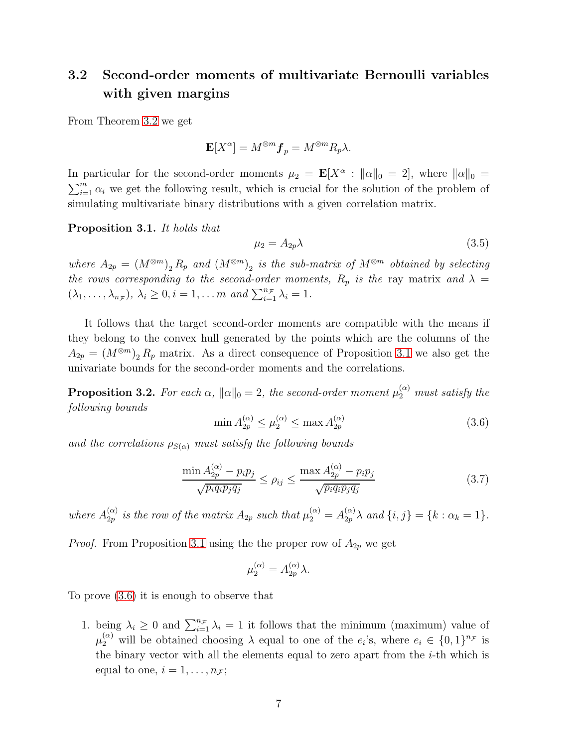## <span id="page-8-4"></span>3.2 Second-order moments of multivariate Bernoulli variables with given margins

From Theorem [3.2](#page-5-2) we get

$$
\mathbf{E}[X^{\alpha}] = M^{\otimes m} \mathbf{f}_p = M^{\otimes m} R_p \lambda.
$$

In particular for the second-order moments  $\mu_2 = \mathbf{E}[X^{\alpha} : ||\alpha||_0 = 2]$ , where  $||\alpha||_0 =$ In particular for the second-order moments  $\mu_2 = \mathbf{E}[X^{\alpha} : ||\alpha||_0 = 2]$ , where  $||\alpha||_0 = \sum_{i=1}^{m} \alpha_i$  we get the following result, which is crucial for the solution of the problem of simulating multivariate binary distributions with a given correlation matrix.

<span id="page-8-0"></span>Proposition 3.1. It holds that

<span id="page-8-3"></span>
$$
\mu_2 = A_{2p}\lambda \tag{3.5}
$$

where  $A_{2p} = (M^{\otimes m})_2 R_p$  and  $(M^{\otimes m})_2$  is the sub-matrix of  $M^{\otimes m}$  obtained by selecting the rows corresponding to the second-order moments,  $R_p$  is the ray matrix and  $\lambda =$  $(\lambda_1, \ldots, \lambda_{n_{\mathcal{F}}}), \lambda_i \geq 0, i = 1, \ldots m \text{ and } \sum_{i=1}^{n_{\mathcal{F}}} \lambda_i = 1.$ 

It follows that the target second-order moments are compatible with the means if they belong to the convex hull generated by the points which are the columns of the  $A_{2p} = (M^{\otimes m})_2 R_p$  matrix. As a direct consequence of Proposition [3.1](#page-8-0) we also get the univariate bounds for the second-order moments and the correlations.

<span id="page-8-5"></span>**Proposition 3.2.** For each  $\alpha$ ,  $\|\alpha\|_0 = 2$ , the second-order moment  $\mu_2^{(\alpha)}$  must satisfy the following bounds

<span id="page-8-1"></span>
$$
\min A_{2p}^{(\alpha)} \le \mu_2^{(\alpha)} \le \max A_{2p}^{(\alpha)} \tag{3.6}
$$

and the correlations  $\rho_{S(\alpha)}$  must satisfy the following bounds

<span id="page-8-2"></span>
$$
\frac{\min A_{2p}^{(\alpha)} - p_i p_j}{\sqrt{p_i q_i p_j q_j}} \le \rho_{ij} \le \frac{\max A_{2p}^{(\alpha)} - p_i p_j}{\sqrt{p_i q_i p_j q_j}}\n\tag{3.7}
$$

where  $A_{2p}^{(\alpha)}$  $a_{2p}^{(\alpha)}$  is the row of the matrix  $A_{2p}$  such that  $\mu_2^{(\alpha)} = A_{2p}^{(\alpha)} \lambda$  and  $\{i, j\} = \{k : \alpha_k = 1\}.$ 

*Proof.* From Proposition [3.1](#page-8-0) using the the proper row of  $A_{2p}$  we get

$$
\mu_2^{(\alpha)} = A_{2p}^{(\alpha)} \lambda.
$$

To prove [\(3.6\)](#page-8-1) it is enough to observe that

1. being  $\lambda_i \geq 0$  and  $\sum_{i=1}^{n_{\mathcal{F}}} \lambda_i = 1$  it follows that the minimum (maximum) value of  $\mu_2^{(\alpha)}$  will be obtained choosing  $\lambda$  equal to one of the  $e_i$ 's, where  $e_i \in \{0,1\}^{n_{\mathcal{F}}}$  is the binary vector with all the elements equal to zero apart from the  $i$ -th which is equal to one,  $i = 1, \ldots, n_{\mathcal{F}};$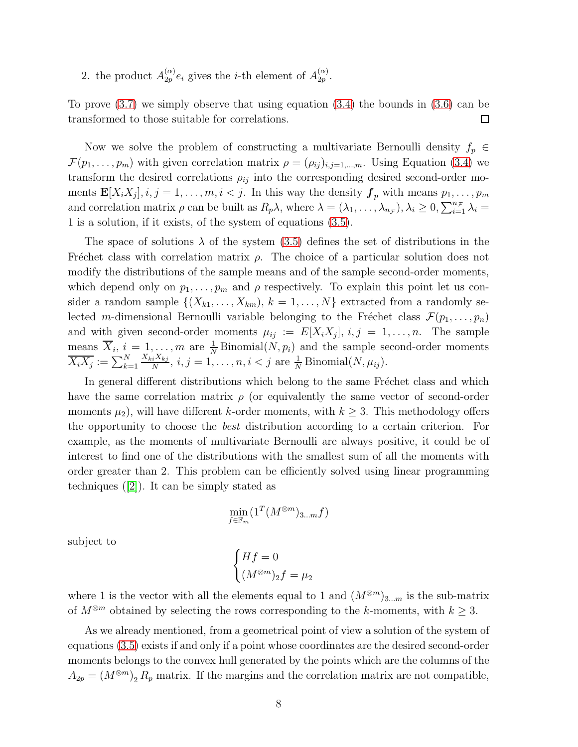2. the product  $A_{2p}^{(\alpha)}$  $\binom{\alpha}{2p}e_i$  gives the *i*-th element of  $A_{2p}^{(\alpha)}$  $\frac{(\alpha)}{2p}$ .

To prove [\(3.7\)](#page-8-2) we simply observe that using equation [\(3.4\)](#page-7-0) the bounds in [\(3.6\)](#page-8-1) can be transformed to those suitable for correlations.  $\Box$ 

Now we solve the problem of constructing a multivariate Bernoulli density  $f_p \in$  $\mathcal{F}(p_1,\ldots,p_m)$  with given correlation matrix  $\rho=(\rho_{ij})_{i,j=1,\ldots,m}$ . Using Equation [\(3.4\)](#page-7-0) we transform the desired correlations  $\rho_{ij}$  into the corresponding desired second-order moments  $\mathbf{E}[X_i X_j], i, j = 1, \ldots, m, i < j$ . In this way the density  $\mathbf{f}_p$  with means  $p_1, \ldots, p_m$ and correlation matrix  $\rho$  can be built as  $R_p\lambda$ , where  $\lambda = (\lambda_1, \ldots, \lambda_{n_{\mathcal{F}}})$ ,  $\lambda_i \geq 0$ ,  $\sum_{i=1}^{n_{\mathcal{F}}} \lambda_i =$ 1 is a solution, if it exists, of the system of equations [\(3.5\)](#page-8-3).

The space of solutions  $\lambda$  of the system [\(3.5\)](#page-8-3) defines the set of distributions in the Fréchet class with correlation matrix  $\rho$ . The choice of a particular solution does not modify the distributions of the sample means and of the sample second-order moments, which depend only on  $p_1, \ldots, p_m$  and  $\rho$  respectively. To explain this point let us consider a random sample  $\{(X_{k1},...,X_{km}), k = 1,...,N\}$  extracted from a randomly selected m-dimensional Bernoulli variable belonging to the Fréchet class  $\mathcal{F}(p_1, \ldots, p_n)$ and with given second-order moments  $\mu_{ij} := E[X_i X_j], i, j = 1, \ldots, n$ . The sample means  $\overline{X}_i$ ,  $i = 1, ..., m$  are  $\frac{1}{N}$  Binomial $(N, p_i)$  and the sample second-order moments  $\overline{X_i X_j} := \sum_{k=1}^N$  $X_{ki}X_{kj}$  $\frac{iX_{kj}}{N}, i, j = 1, \ldots, n, i < j$  are  $\frac{1}{N}$  Binomial $(N, \mu_{ij}).$ 

In general different distributions which belong to the same Fréchet class and which have the same correlation matrix  $\rho$  (or equivalently the same vector of second-order moments  $\mu_2$ , will have different k-order moments, with  $k \geq 3$ . This methodology offers the opportunity to choose the best distribution according to a certain criterion. For example, as the moments of multivariate Bernoulli are always positive, it could be of interest to find one of the distributions with the smallest sum of all the moments with order greater than 2. This problem can be efficiently solved using linear programming techniques  $([2])$  $([2])$  $([2])$ . It can be simply stated as

$$
\min_{f \in \mathbb{F}_m} (\mathbf{1}^T (M^{\otimes m})_{3...m} f)
$$

subject to

$$
\begin{cases} Hf = 0\\ (M^{\otimes m})_2 f = \mu_2 \end{cases}
$$

where 1 is the vector with all the elements equal to 1 and  $(M^{\otimes m})_{3...m}$  is the sub-matrix of  $M^{\otimes m}$  obtained by selecting the rows corresponding to the k-moments, with  $k \geq 3$ .

As we already mentioned, from a geometrical point of view a solution of the system of equations [\(3.5\)](#page-8-3) exists if and only if a point whose coordinates are the desired second-order moments belongs to the convex hull generated by the points which are the columns of the  $A_{2p} = (M^{\otimes m})_2 R_p$  matrix. If the margins and the correlation matrix are not compatible,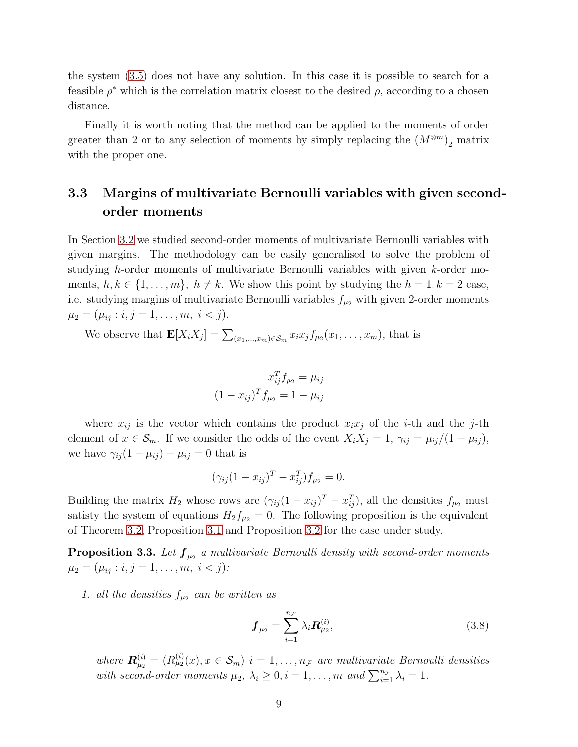the system [\(3.5\)](#page-8-3) does not have any solution. In this case it is possible to search for a feasible  $\rho^*$  which is the correlation matrix closest to the desired  $\rho$ , according to a chosen distance.

Finally it is worth noting that the method can be applied to the moments of order greater than 2 or to any selection of moments by simply replacing the  $(M^{\otimes m})_2$  matrix with the proper one.

## 3.3 Margins of multivariate Bernoulli variables with given secondorder moments

In Section [3.2](#page-8-4) we studied second-order moments of multivariate Bernoulli variables with given margins. The methodology can be easily generalised to solve the problem of studying h-order moments of multivariate Bernoulli variables with given k-order moments,  $h, k \in \{1, \ldots, m\}, h \neq k$ . We show this point by studying the  $h = 1, k = 2$  case, i.e. studying margins of multivariate Bernoulli variables  $f_{\mu_2}$  with given 2-order moments  $\mu_2 = (\mu_{ij} : i, j = 1, \ldots, m, i < j).$ 

We observe that  $\mathbf{E}[X_i X_j] = \sum_{(x_1,\dots,x_m)\in\mathcal{S}_m} x_i x_j f_{\mu_2}(x_1,\dots,x_m)$ , that is

$$
x_{ij}^T f_{\mu_2} = \mu_{ij}
$$

$$
(1 - x_{ij})^T f_{\mu_2} = 1 - \mu_{ij}
$$

where  $x_{ij}$  is the vector which contains the product  $x_ix_j$  of the *i*-th and the *j*-th element of  $x \in \mathcal{S}_m$ . If we consider the odds of the event  $X_i X_j = 1$ ,  $\gamma_{ij} = \mu_{ij}/(1 - \mu_{ij})$ , we have  $\gamma_{ij}(1-\mu_{ij})-\mu_{ij}=0$  that is

$$
(\gamma_{ij}(1 - x_{ij})^T - x_{ij}^T) f_{\mu_2} = 0.
$$

Building the matrix  $H_2$  whose rows are  $(\gamma_{ij}(1-x_{ij})^T - x_{ij}^T)$ , all the densities  $f_{\mu_2}$  must satisty the system of equations  $H_2f_{\mu_2}=0$ . The following proposition is the equivalent of Theorem [3.2,](#page-5-2) Proposition [3.1](#page-8-0) and Proposition [3.2](#page-8-5) for the case under study.

**Proposition 3.3.** Let  $\boldsymbol{f}_{\mu_2}$  a multivariate Bernoulli density with second-order moments  $\mu_2 = (\mu_{ij} : i, j = 1, \ldots, m, i < j)$ :

1. all the densities  $f_{\mu_2}$  can be written as

$$
\boldsymbol{f}_{\mu_2} = \sum_{i=1}^{n_{\mathcal{F}}} \lambda_i \boldsymbol{R}_{\mu_2}^{(i)},
$$
\n(3.8)

where  $\mathbf{R}^{(i)}_{\mu_2} = (R^{(i)}_{\mu_2}(x), x \in \mathcal{S}_m)$  i = 1, ...,  $n_{\mathcal{F}}$  are multivariate Bernoulli densities with second-order moments  $\mu_2, \lambda_i \geq 0, i = 1, ..., m$  and  $\sum_{i=1}^{n_{\mathcal{F}}} \lambda_i = 1$ .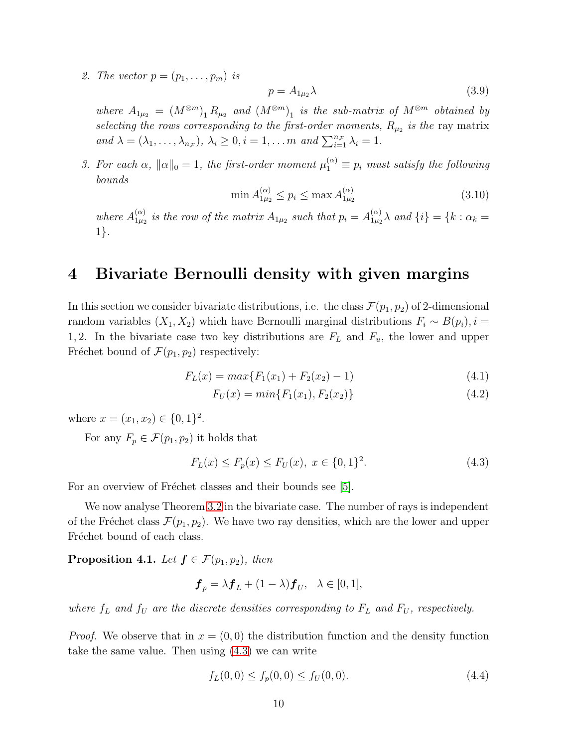2. The vector  $p = (p_1, \ldots, p_m)$  is

$$
p = A_{1\mu_2}\lambda\tag{3.9}
$$

where  $A_{1\mu_2} = (M^{\otimes m})_1 R_{\mu_2}$  and  $(M^{\otimes m})_1$  is the sub-matrix of  $M^{\otimes m}$  obtained by selecting the rows corresponding to the first-order moments,  $R_{\mu_2}$  is the ray matrix and  $\lambda = (\lambda_1, \ldots, \lambda_{n_{\mathcal{F}}}), \lambda_i \geq 0, i = 1, \ldots m$  and  $\sum_{i=1}^{n_{\mathcal{F}}} \lambda_i = 1$ .

3. For each  $\alpha$ ,  $\|\alpha\|_0 = 1$ , the first-order moment  $\mu_1^{(\alpha)} \equiv p_i$  must satisfy the following bounds

<span id="page-11-4"></span>
$$
\min A_{1\mu_2}^{(\alpha)} \le p_i \le \max A_{1\mu_2}^{(\alpha)} \tag{3.10}
$$

where  $A_{1\mu_2}^{(\alpha)}$  $\mathcal{L}^{(\alpha)}_{1\mu_2}$  is the row of the matrix  $A_{1\mu_2}$  such that  $p_i=A^{(\alpha)}_{1\mu_2}$  $\binom{\alpha}{1\mu_2}$  and  $\{i\} = \{k : \alpha_k =$ 1}.

## 4 Bivariate Bernoulli density with given margins

In this section we consider bivariate distributions, i.e. the class  $\mathcal{F}(p_1, p_2)$  of 2-dimensional random variables  $(X_1, X_2)$  which have Bernoulli marginal distributions  $F_i \sim B(p_i), i =$ 1, 2. In the bivariate case two key distributions are  $F<sub>L</sub>$  and  $F<sub>u</sub>$ , the lower and upper Fréchet bound of  $\mathcal{F}(p_1, p_2)$  respectively:

<span id="page-11-3"></span>
$$
F_L(x) = max\{F_1(x_1) + F_2(x_2) - 1\}
$$
\n(4.1)

$$
F_U(x) = min\{F_1(x_1), F_2(x_2)\}\tag{4.2}
$$

where  $x = (x_1, x_2) \in \{0, 1\}^2$ .

For any  $F_p \in \mathcal{F}(p_1, p_2)$  it holds that

<span id="page-11-0"></span>
$$
F_L(x) \le F_p(x) \le F_U(x), \ x \in \{0, 1\}^2. \tag{4.3}
$$

For an overview of Fréchet classes and their bounds see [\[5\]](#page-17-11).

We now analyse Theorem [3.2](#page-5-2) in the bivariate case. The number of rays is independent of the Fréchet class  $\mathcal{F}(p_1, p_2)$ . We have two ray densities, which are the lower and upper Fréchet bound of each class.

<span id="page-11-2"></span>**Proposition 4.1.** Let  $f \in \mathcal{F}(p_1, p_2)$ , then

$$
\boldsymbol{f}_p = \lambda \boldsymbol{f}_L + (1 - \lambda) \boldsymbol{f}_U, \ \ \lambda \in [0, 1],
$$

where  $f_L$  and  $f_U$  are the discrete densities corresponding to  $F_L$  and  $F_U$ , respectively.

*Proof.* We observe that in  $x = (0,0)$  the distribution function and the density function take the same value. Then using [\(4.3\)](#page-11-0) we can write

<span id="page-11-1"></span>
$$
f_L(0,0) \le f_p(0,0) \le f_U(0,0). \tag{4.4}
$$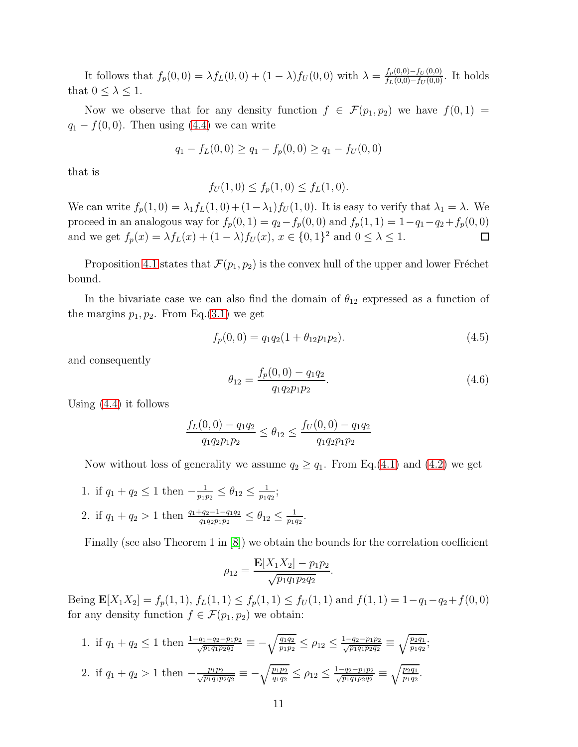It follows that  $f_p(0,0) = \lambda f_L(0,0) + (1-\lambda)f_U(0,0)$  with  $\lambda = \frac{f_p(0,0) - f_U(0,0)}{f_L(0,0) - f_U(0,0)}$ . It holds that  $0 \leq \lambda \leq 1$ .

Now we observe that for any density function  $f \in \mathcal{F}(p_1, p_2)$  we have  $f(0, 1) =$  $q_1 - f(0,0)$ . Then using [\(4.4\)](#page-11-1) we can write

$$
q_1 - f_L(0,0) \ge q_1 - f_p(0,0) \ge q_1 - f_U(0,0)
$$

that is

$$
f_U(1,0) \le f_p(1,0) \le f_L(1,0).
$$

We can write  $f_p(1,0) = \lambda_1 f_L(1,0) + (1-\lambda_1)f_U(1,0)$ . It is easy to verify that  $\lambda_1 = \lambda$ . We proceed in an analogous way for  $f_p(0, 1) = q_2 - f_p(0, 0)$  and  $f_p(1, 1) = 1 - q_1 - q_2 + f_p(0, 0)$ and we get  $f_p(x) = \lambda f_L(x) + (1 - \lambda)f_U(x)$ ,  $x \in \{0, 1\}^2$  and  $0 \le \lambda \le 1$ .  $\Box$ 

Proposition [4.1](#page-11-2) states that  $\mathcal{F}(p_1, p_2)$  is the convex hull of the upper and lower Fréchet bound.

In the bivariate case we can also find the domain of  $\theta_{12}$  expressed as a function of the margins  $p_1, p_2$ . From Eq.[\(3.1\)](#page-5-0) we get

$$
f_p(0,0) = q_1 q_2 (1 + \theta_{12} p_1 p_2).
$$
\n(4.5)

and consequently

$$
\theta_{12} = \frac{f_p(0,0) - q_1 q_2}{q_1 q_2 p_1 p_2}.
$$
\n(4.6)

Using [\(4.4\)](#page-11-1) it follows

$$
\frac{f_L(0,0) - q_1 q_2}{q_1 q_2 p_1 p_2} \le \theta_{12} \le \frac{f_U(0,0) - q_1 q_2}{q_1 q_2 p_1 p_2}
$$

Now without loss of generality we assume  $q_2 \geq q_1$ . From Eq.[\(4.1\)](#page-11-3) and [\(4.2\)](#page-11-3) we get

1. if  $q_1 + q_2 \leq 1$  then  $-\frac{1}{p_1}$  $\frac{1}{p_1p_2} \leq \theta_{12} \leq \frac{1}{p_1q}$  $\frac{1}{p_1q_2};$ 2. if  $q_1 + q_2 > 1$  then  $\frac{q_1 + q_2 - 1 - q_1 q_2}{q_1 q_2 p_1 p_2} \le \theta_{12} \le \frac{1}{p_1 q_2}$  $\frac{1}{p_1q_2}$ .

Finally (see also Theorem 1 in [\[8\]](#page-17-12)) we obtain the bounds for the correlation coefficient

$$
\rho_{12} = \frac{\mathbf{E}[X_1 X_2] - p_1 p_2}{\sqrt{p_1 q_1 p_2 q_2}}.
$$

Being  $\mathbf{E}[X_1X_2] = f_p(1,1), f_L(1,1) \le f_p(1,1) \le f_U(1,1)$  and  $f(1,1) = 1-q_1-q_2+f(0,0)$ for any density function  $f \in \mathcal{F}(p_1, p_2)$  we obtain:

1. if 
$$
q_1 + q_2 \le 1
$$
 then  $\frac{1 - q_1 - q_2 - p_1 p_2}{\sqrt{p_1 q_1 p_2 q_2}} \equiv -\sqrt{\frac{q_1 q_2}{p_1 p_2}} \le \rho_{12} \le \frac{1 - q_2 - p_1 p_2}{\sqrt{p_1 q_1 p_2 q_2}} \equiv \sqrt{\frac{p_2 q_1}{p_1 q_2}};$   
\n2. if  $q_1 + q_2 > 1$  then  $-\frac{p_1 p_2}{\sqrt{p_1 q_1 p_2 q_2}} \equiv -\sqrt{\frac{p_1 p_2}{q_1 q_2}} \le \rho_{12} \le \frac{1 - q_2 - p_1 p_2}{\sqrt{p_1 q_1 p_2 q_2}} \equiv \sqrt{\frac{p_2 q_1}{p_1 q_2}}.$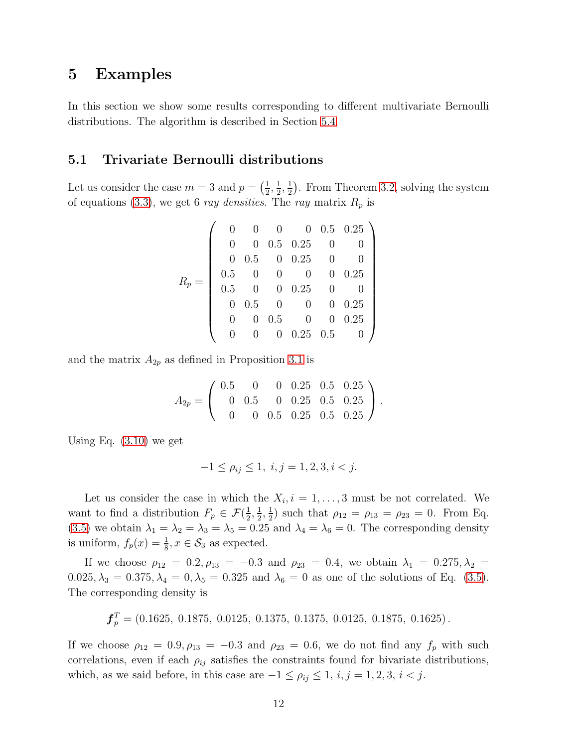#### <span id="page-13-0"></span>5 Examples

In this section we show some results corresponding to different multivariate Bernoulli distributions. The algorithm is described in Section [5.4.](#page-16-1)

#### 5.1 Trivariate Bernoulli distributions

Let us consider the case  $m=3$  and  $p=\left(\frac{1}{2}\right)$  $\frac{1}{2}$ ,  $\frac{1}{2}$  $\frac{1}{2}$ ,  $\frac{1}{2}$  $\frac{1}{2}$ . From Theorem [3.2,](#page-5-2) solving the system of equations [\(3.3\)](#page-5-1), we get 6 ray densities. The ray matrix  $R_p$  is

|                  |          |                  | 0                |            |          | $0\quad 0.5\quad 0.25$ |
|------------------|----------|------------------|------------------|------------|----------|------------------------|
| $\boldsymbol{R}$ | 0        | $\theta$         |                  | $0.5$ 0.25 | 0        |                        |
|                  | $\theta$ | 0.5              | $\overline{0}$   | 0.25       | 0        |                        |
|                  | 0.5      |                  | 0                | 0          | $\theta$ | 0.25                   |
|                  | 0.5      |                  | $\theta$         | 0.25       |          |                        |
|                  | 0        | 0.5              | 0                | 0          | $\theta$ | 0.25                   |
|                  |          | $\left( \right)$ | 0.5              | 0          | 0        | 0.25                   |
|                  |          |                  | $\left( \right)$ | $0.25$ 0.5 |          |                        |

and the matrix  $A_{2p}$  as defined in Proposition [3.1](#page-8-0) is

$$
A_{2p} = \left(\begin{array}{cccccc} 0.5 & 0 & 0 & 0.25 & 0.5 & 0.25 \\ 0 & 0.5 & 0 & 0.25 & 0.5 & 0.25 \\ 0 & 0 & 0.5 & 0.25 & 0.5 & 0.25 \end{array}\right).
$$

Using Eq. [\(3.10\)](#page-11-4) we get

$$
-1 \le \rho_{ij} \le 1, \ i, j = 1, 2, 3, i < j.
$$

Let us consider the case in which the  $X_i$ ,  $i = 1, \ldots, 3$  must be not correlated. We want to find a distribution  $F_p \in \mathcal{F}(\frac{1}{2})$  $\frac{1}{2}, \frac{1}{2}$  $\frac{1}{2}$ ,  $\frac{1}{2}$  $\frac{1}{2}$ ) such that  $\rho_{12} = \rho_{13} = \rho_{23} = 0$ . From Eq. [\(3.5\)](#page-8-3) we obtain  $\lambda_1 = \lambda_2 = \lambda_3 = \lambda_5 = 0.25$  and  $\lambda_4 = \lambda_6 = 0$ . The corresponding density is uniform,  $f_p(x) = \frac{1}{8}$ ,  $x \in S_3$  as expected.

If we choose  $\rho_{12} = 0.2, \rho_{13} = -0.3$  and  $\rho_{23} = 0.4$ , we obtain  $\lambda_1 = 0.275, \lambda_2 =$  $0.025, \lambda_3 = 0.375, \lambda_4 = 0, \lambda_5 = 0.325$  and  $\lambda_6 = 0$  as one of the solutions of Eq. [\(3.5\)](#page-8-3). The corresponding density is

$$
\boldsymbol{f}_p^T = (0.1625, 0.1875, 0.0125, 0.1375, 0.1375, 0.0125, 0.1875, 0.1625).
$$

If we choose  $\rho_{12} = 0.9, \rho_{13} = -0.3$  and  $\rho_{23} = 0.6$ , we do not find any  $f_p$  with such correlations, even if each  $\rho_{ij}$  satisfies the constraints found for bivariate distributions, which, as we said before, in this case are  $-1 \leq \rho_{ij} \leq 1$ ,  $i, j = 1, 2, 3, i < j$ .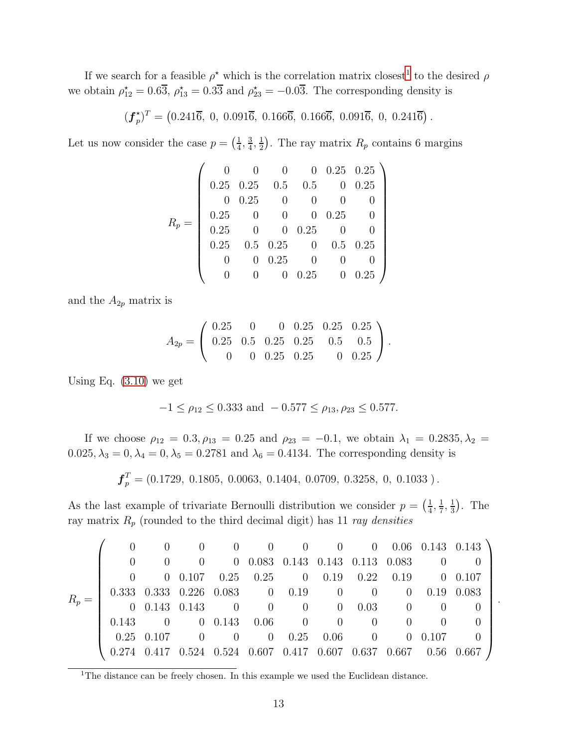If we search for a feasible  $\rho^*$  which is the correlation matrix closest<sup>[1](#page-14-0)</sup> to the desired  $\rho$ we obtain  $\rho_{12}^* = 0.6\overline{3}$ ,  $\rho_{13}^* = 0.3\overline{3}$  and  $\rho_{23}^* = -0.0\overline{3}$ . The corresponding density is

> $(\boldsymbol{f}^{\star}_{p}% ,\phi_{\alpha}^{\ast},\phi_{\alpha}^{\ast},\phi_{\alpha}^{\ast})$  $\mathbf{F}_p^{\star}$ ) $^T = \left(0.241\overline{6}, 0, 0.091\overline{6}, 0.166\overline{6}, 0.166\overline{6}, 0.091\overline{6}, 0, 0.241\overline{6}\right).$

Let us now consider the case  $p = \left(\frac{1}{4}\right)$  $\frac{1}{4}$ ,  $\frac{3}{4}$  $\frac{3}{4}, \frac{1}{2}$  $\frac{1}{2}$ ). The ray matrix  $R_p$  contains 6 margins

$$
R_p = \left(\begin{array}{ccccc} 0 & 0 & 0 & 0 & 0.25 & 0.25 \\ 0.25 & 0.25 & 0.5 & 0.5 & 0 & 0.25 \\ 0 & 0.25 & 0 & 0 & 0 & 0 & 0 \\ 0.25 & 0 & 0 & 0.25 & 0 & 0 \\ 0.25 & 0.5 & 0.25 & 0 & 0.5 & 0.25 \\ 0 & 0 & 0.25 & 0 & 0 & 0 & 0 \\ 0 & 0 & 0.25 & 0 & 0 & 0.25 \end{array}\right)
$$

and the  $A_{2p}$  matrix is

$$
A_{2p} = \left(\begin{array}{cccccc} 0.25 & 0 & 0 & 0.25 & 0.25 & 0.25 \\ 0.25 & 0.5 & 0.25 & 0.25 & 0.5 & 0.5 \\ 0 & 0 & 0.25 & 0.25 & 0 & 0.25 \end{array}\right).
$$

Using Eq. [\(3.10\)](#page-11-4) we get

$$
-1 \le \rho_{12} \le 0.333 \text{ and } -0.577 \le \rho_{13}, \rho_{23} \le 0.577.
$$

If we choose  $\rho_{12} = 0.3, \rho_{13} = 0.25$  and  $\rho_{23} = -0.1$ , we obtain  $\lambda_1 = 0.2835, \lambda_2 =$  $0.025, \lambda_3 = 0, \lambda_4 = 0, \lambda_5 = 0.2781$  and  $\lambda_6 = 0.4134$ . The corresponding density is

 $\boldsymbol{f}_p^T = (0.1729, 0.1805, 0.0063, 0.1404, 0.0709, 0.3258, 0, 0.1033).$ 

As the last example of trivariate Bernoulli distribution we consider  $p = \left(\frac{1}{4}\right)^{1/2}$  $\frac{1}{4}, \frac{1}{7}$  $\frac{1}{7}, \frac{1}{3}$  $\frac{1}{3}$ ). The ray matrix  $R_p$  (rounded to the third decimal digit) has 11 ray densities

|         |                  |                  |          |                                              |          |                     | $\overline{0}$                         |                                   |                                      |                | $0$ 0.06 0.143 0.143 |
|---------|------------------|------------------|----------|----------------------------------------------|----------|---------------------|----------------------------------------|-----------------------------------|--------------------------------------|----------------|----------------------|
| $R_p =$ | $\left( \right)$ |                  |          |                                              |          |                     |                                        | $0$ 0.083 0.143 0.143 0.113 0.083 |                                      |                |                      |
|         |                  |                  |          | $0$ 0.107 0.25 0.25 0 0.19 0.22 0.19 0 0.107 |          |                     |                                        |                                   |                                      |                |                      |
|         |                  |                  |          | 0.333 0.333 0.226 0.083 0 0.19               |          |                     | $\sim$ 0                               |                                   | $\begin{matrix} 0 \end{matrix}$<br>0 | 0.19           | 0.083                |
|         |                  | $0$ 0.143 0.143  |          | $\overline{0}$                               | $\sim$ 0 | $\overline{0}$      | $\begin{matrix} 0 \end{matrix}$        | 0.03                              | $\theta$                             |                |                      |
|         | 0.143            | $\left( \right)$ |          | $0\quad 0.143\quad 0.06$                     |          | $\overline{0}$      | $\begin{array}{ccc} & & 0 \end{array}$ | $\left( \right)$                  | $\left( \right)$                     |                |                      |
|         |                  | $0.25$ 0.107     | $\theta$ | $\overline{0}$                               |          | $0 \t 0.25 \t 0.06$ |                                        | $\overline{0}$                    |                                      | $0\quad 0.107$ |                      |
|         | 0.274            |                  | 0.524    | $0.524$ $0.607$ $0.417$ $0.607$ $0.637$      |          |                     |                                        |                                   | $0.667$ 0.56                         |                |                      |

.

<span id="page-14-0"></span> $1$ <sup>1</sup>The distance can be freely chosen. In this example we used the Euclidean distance.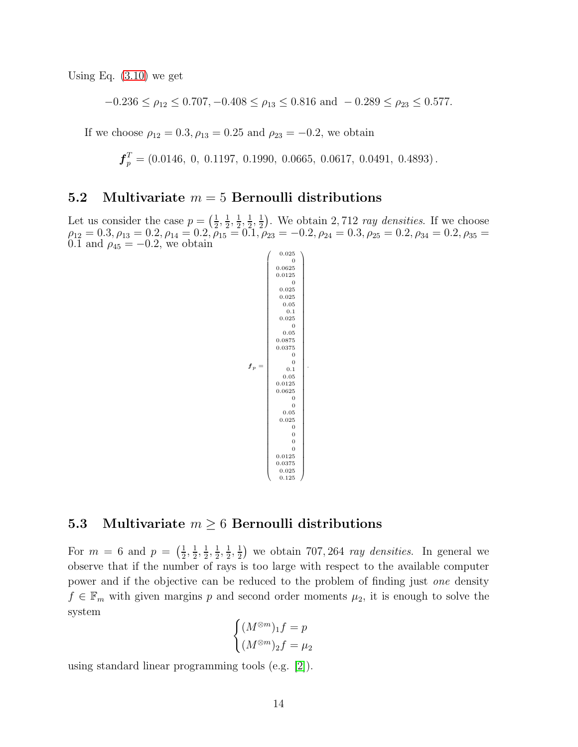Using Eq. [\(3.10\)](#page-11-4) we get

 $-0.236 \le \rho_{12} \le 0.707, -0.408 \le \rho_{13} \le 0.816$  and  $-0.289 \le \rho_{23} \le 0.577$ .

If we choose  $\rho_{12} = 0.3, \rho_{13} = 0.25$  and  $\rho_{23} = -0.2$ , we obtain

 $\boldsymbol{f}^T_p = (0.0146,~0,~0.1197,~0.1990,~0.0665,~0.0617,~0.0491,~0.4893)$ .

#### 5.2 Multivariate  $m = 5$  Bernoulli distributions

Let us consider the case  $p = \left(\frac{1}{2}\right)$  $\frac{1}{2}, \frac{1}{2}$  $\frac{1}{2}, \frac{1}{2}$  $\frac{1}{2}, \frac{1}{2}$  $\frac{1}{2}, \frac{1}{2}$  $\frac{1}{2}$ ). We obtain 2,712 *ray densities*. If we choose  $\rho_{12} = 0.3, \rho_{13} = 0.2, \rho_{14} = 0.2, \rho_{15} = 0.1, \rho_{23} = -0.2, \rho_{24} = 0.3, \rho_{25} = 0.2, \rho_{34} = 0.2, \rho_{35} = 0.1, \rho_{36} = 0.1, \rho_{37} = 0.2, \rho_{38} = 0.2, \rho_{39} = 0.2, \rho_{31} = 0.2, \rho_{32} = 0.2, \rho_{33} = 0.2, \rho_{34} = 0.2, \rho_{35} = 0.2, \rho_{3$ 0.1 and  $\rho_{45} = -0.2$ , we obtain

f<sup>p</sup> = 0 0.0625 0.0125 0 0.025 0.025 0.05 0.1 0.025 0 0.05 0.0875 0.0375 0 0 0.1 0.05 0.0125 0.0625 0 0 0.05 0.025 0 0 0 0 0.0125 0.0375 0.025 0.125 .

#### 5.3 Multivariate  $m \geq 6$  Bernoulli distributions

For  $m = 6$  and  $p = \left(\frac{1}{2}\right)$  $\frac{1}{2}, \frac{1}{2}$  $\frac{1}{2}, \frac{1}{2}$  $\frac{1}{2}, \frac{1}{2}$  $\frac{1}{2}, \frac{1}{2}$  $\frac{1}{2}, \frac{1}{2}$  $\frac{1}{2}$ ) we obtain 707, 264 *ray densities*. In general we observe that if the number of rays is too large with respect to the available computer power and if the objective can be reduced to the problem of finding just one density  $f \in \mathbb{F}_m$  with given margins p and second order moments  $\mu_2$ , it is enough to solve the system

$$
\begin{cases}\n(M^{\otimes m})_1 f = p \\
(M^{\otimes m})_2 f = \mu_2\n\end{cases}
$$

using standard linear programming tools (e.g. [\[2\]](#page-17-10)).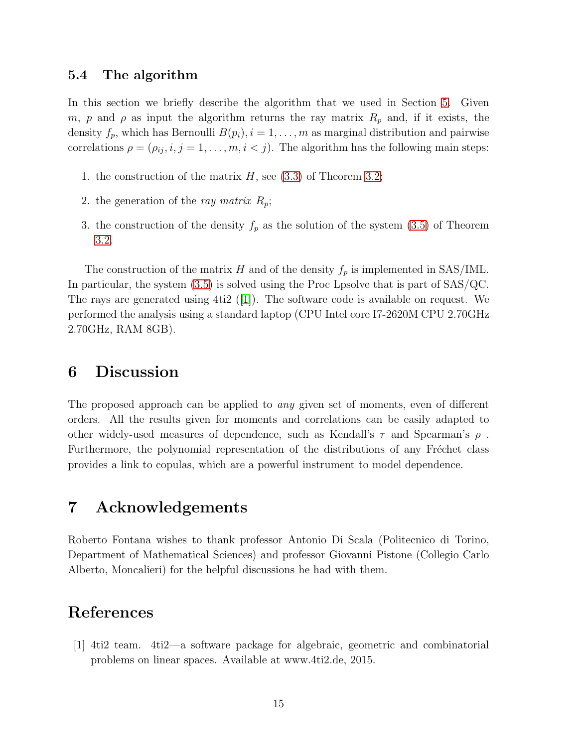#### <span id="page-16-1"></span>5.4 The algorithm

In this section we briefly describe the algorithm that we used in Section [5.](#page-13-0) Given m, p and  $\rho$  as input the algorithm returns the ray matrix  $R_p$  and, if it exists, the density  $f_p$ , which has Bernoulli  $B(p_i)$ ,  $i = 1, \ldots, m$  as marginal distribution and pairwise correlations  $\rho = (\rho_{ij}, i, j = 1, \dots, m, i < j)$ . The algorithm has the following main steps:

- 1. the construction of the matrix  $H$ , see [\(3.3\)](#page-5-1) of Theorem [3.2;](#page-5-2)
- 2. the generation of the ray matrix  $R_p$ ;
- 3. the construction of the density  $f_p$  as the solution of the system [\(3.5\)](#page-8-3) of Theorem [3.2.](#page-5-2)

The construction of the matrix H and of the density  $f_p$  is implemented in SAS/IML. In particular, the system [\(3.5\)](#page-8-3) is solved using the Proc Lpsolve that is part of SAS/QC. The rays are generated using  $4ti2$  ([\[1\]](#page-16-0)). The software code is available on request. We performed the analysis using a standard laptop (CPU Intel core I7-2620M CPU 2.70GHz 2.70GHz, RAM 8GB).

#### 6 Discussion

The proposed approach can be applied to any given set of moments, even of different orders. All the results given for moments and correlations can be easily adapted to other widely-used measures of dependence, such as Kendall's  $\tau$  and Spearman's  $\rho$ . Furthermore, the polynomial representation of the distributions of any Fréchet class provides a link to copulas, which are a powerful instrument to model dependence.

### 7 Acknowledgements

Roberto Fontana wishes to thank professor Antonio Di Scala (Politecnico di Torino, Department of Mathematical Sciences) and professor Giovanni Pistone (Collegio Carlo Alberto, Moncalieri) for the helpful discussions he had with them.

### <span id="page-16-0"></span>References

[1] 4ti2 team. 4ti2—a software package for algebraic, geometric and combinatorial problems on linear spaces. Available at www.4ti2.de, 2015.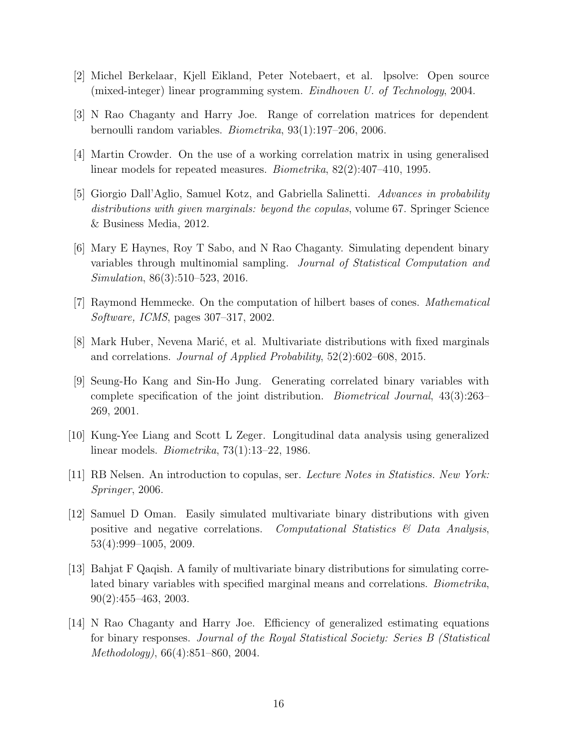- <span id="page-17-10"></span><span id="page-17-0"></span>[2] Michel Berkelaar, Kjell Eikland, Peter Notebaert, et al. lpsolve: Open source (mixed-integer) linear programming system. Eindhoven U. of Technology, 2004.
- <span id="page-17-6"></span>[3] N Rao Chaganty and Harry Joe. Range of correlation matrices for dependent bernoulli random variables. Biometrika, 93(1):197–206, 2006.
- <span id="page-17-11"></span>[4] Martin Crowder. On the use of a working correlation matrix in using generalised linear models for repeated measures. Biometrika, 82(2):407–410, 1995.
- [5] Giorgio Dall'Aglio, Samuel Kotz, and Gabriella Salinetti. Advances in probability distributions with given marginals: beyond the copulas, volume 67. Springer Science & Business Media, 2012.
- <span id="page-17-1"></span>[6] Mary E Haynes, Roy T Sabo, and N Rao Chaganty. Simulating dependent binary variables through multinomial sampling. Journal of Statistical Computation and Simulation, 86(3):510–523, 2016.
- <span id="page-17-12"></span><span id="page-17-9"></span>[7] Raymond Hemmecke. On the computation of hilbert bases of cones. Mathematical Software, ICMS, pages 307–317, 2002.
- <span id="page-17-2"></span>[8] Mark Huber, Nevena Marić, et al. Multivariate distributions with fixed marginals and correlations. Journal of Applied Probability, 52(2):602–608, 2015.
- [9] Seung-Ho Kang and Sin-Ho Jung. Generating correlated binary variables with complete specification of the joint distribution. Biometrical Journal, 43(3):263– 269, 2001.
- <span id="page-17-8"></span><span id="page-17-4"></span>[10] Kung-Yee Liang and Scott L Zeger. Longitudinal data analysis using generalized linear models. Biometrika, 73(1):13–22, 1986.
- <span id="page-17-5"></span>[11] RB Nelsen. An introduction to copulas, ser. Lecture Notes in Statistics. New York: Springer, 2006.
- [12] Samuel D Oman. Easily simulated multivariate binary distributions with given positive and negative correlations. Computational Statistics  $\mathcal{B}$  Data Analysis, 53(4):999–1005, 2009.
- <span id="page-17-3"></span>[13] Bahjat F Qaqish. A family of multivariate binary distributions for simulating correlated binary variables with specified marginal means and correlations. *Biometrika*, 90(2):455–463, 2003.
- <span id="page-17-7"></span>[14] N Rao Chaganty and Harry Joe. Efficiency of generalized estimating equations for binary responses. Journal of the Royal Statistical Society: Series B (Statistical Methodology), 66(4):851–860, 2004.